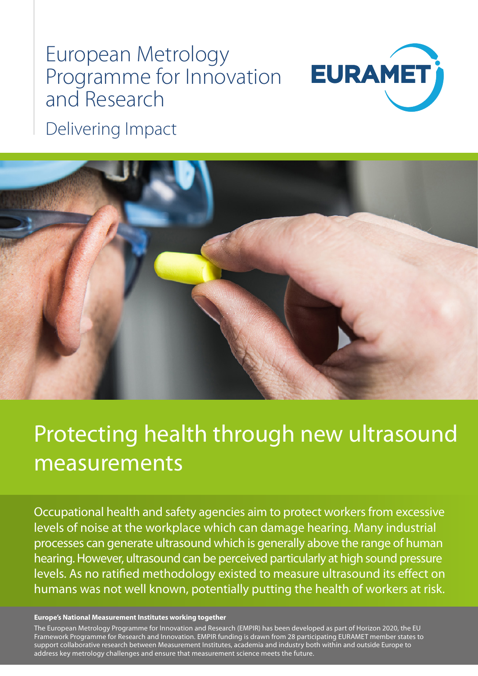# European Metrology Programme for Innovation and Research



Delivering Impact



## Protecting health through new ultrasound measurements

Occupational health and safety agencies aim to protect workers from excessive levels of noise at the workplace which can damage hearing. Many industrial processes can generate ultrasound which is generally above the range of human hearing. However, ultrasound can be perceived particularly at high sound pressure levels. As no ratified methodology existed to measure ultrasound its effect on humans was not well known, potentially putting the health of workers at risk.

#### **Europe's National Measurement Institutes working together**

The European Metrology Programme for Innovation and Research (EMPIR) has been developed as part of Horizon 2020, the EU Framework Programme for Research and Innovation. EMPIR funding is drawn from 28 participating EURAMET member states to support collaborative research between Measurement Institutes, academia and industry both within and outside Europe to address key metrology challenges and ensure that measurement science meets the future.